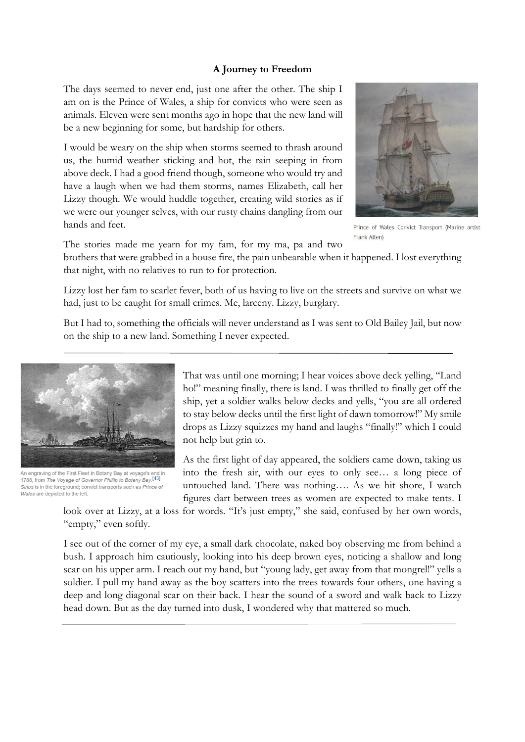## **A Journey to Freedom**

The days seemed to never end, just one after the other. The ship I am on is the Prince of Wales, a ship for convicts who were seen as animals. Eleven were sent months ago in hope that the new land will be a new beginning for some, but hardship for others.

I would be weary on the ship when storms seemed to thrash around us, the humid weather sticking and hot, the rain seeping in from above deck. I had a good friend though, someone who would try and have a laugh when we had them storms, names Elizabeth, call her Lizzy though. We would huddle together, creating wild stories as if we were our younger selves, with our rusty chains dangling from our hands and feet.



Prince of Wales Convict Transport (Marine artist Frank Allen)

The stories made me yearn for my fam, for my ma, pa and two

brothers that were grabbed in a house fire, the pain unbearable when it happened. I lost everything that night, with no relatives to run to for protection.

Lizzy lost her fam to scarlet fever, both of us having to live on the streets and survive on what we had, just to be caught for small crimes. Me, larceny. Lizzy, burglary.

But I had to, something the officials will never understand as I was sent to Old Bailey Jail, but now on the ship to a new land. Something I never expected.



An engraving of the First Fleet in Botany Bay at yovage's end in 1788, from The Voyage of Governor Phillip to Botany Bay.<sup>[43]</sup> Sirius is in the foreground; convict transports such as Prince of Wales are depicted to the left

That was until one morning; I hear voices above deck yelling, "Land ho!" meaning finally, there is land. I was thrilled to finally get off the ship, yet a soldier walks below decks and yells, "you are all ordered to stay below decks until the first light of dawn tomorrow!" My smile drops as Lizzy squizzes my hand and laughs "finally!" which I could not help but grin to.

As the first light of day appeared, the soldiers came down, taking us into the fresh air, with our eyes to only see… a long piece of untouched land. There was nothing…. As we hit shore, I watch figures dart between trees as women are expected to make tents. I

look over at Lizzy, at a loss for words. "It's just empty," she said, confused by her own words, "empty," even softly.

I see out of the corner of my eye, a small dark chocolate, naked boy observing me from behind a bush. I approach him cautiously, looking into his deep brown eyes, noticing a shallow and long scar on his upper arm. I reach out my hand, but "young lady, get away from that mongrel!" yells a soldier. I pull my hand away as the boy scatters into the trees towards four others, one having a deep and long diagonal scar on their back. I hear the sound of a sword and walk back to Lizzy head down. But as the day turned into dusk, I wondered why that mattered so much.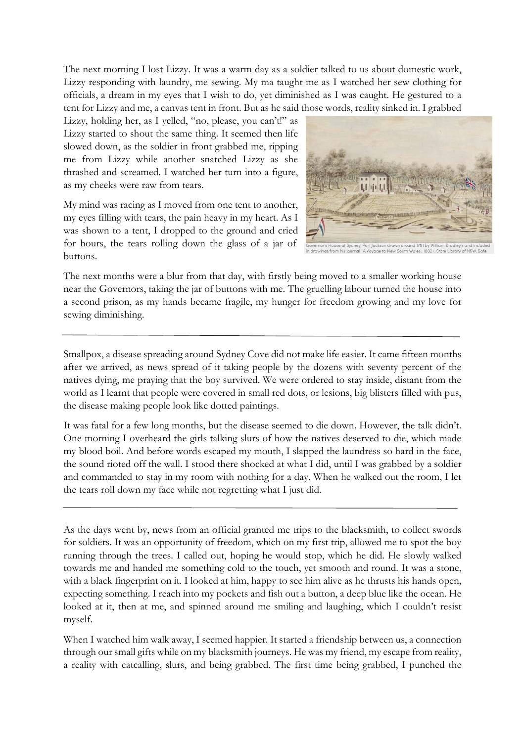The next morning I lost Lizzy. It was a warm day as a soldier talked to us about domestic work, Lizzy responding with laundry, me sewing. My ma taught me as I watched her sew clothing for officials, a dream in my eyes that I wish to do, yet diminished as I was caught. He gestured to a tent for Lizzy and me, a canvas tent in front. But as he said those words, reality sinked in. I grabbed

Lizzy, holding her, as I yelled, "no, please, you can't!" as Lizzy started to shout the same thing. It seemed then life slowed down, as the soldier in front grabbed me, ripping me from Lizzy while another snatched Lizzy as she thrashed and screamed. I watched her turn into a figure, as my cheeks were raw from tears.

My mind was racing as I moved from one tent to another, my eyes filling with tears, the pain heavy in my heart. As I was shown to a tent, I dropped to the ground and cried for hours, the tears rolling down the glass of a jar of buttons.



The next months were a blur from that day, with firstly being moved to a smaller working house near the Governors, taking the jar of buttons with me. The gruelling labour turned the house into a second prison, as my hands became fragile, my hunger for freedom growing and my love for sewing diminishing.

Smallpox, a disease spreading around Sydney Cove did not make life easier. It came fifteen months after we arrived, as news spread of it taking people by the dozens with seventy percent of the natives dying, me praying that the boy survived. We were ordered to stay inside, distant from the world as I learnt that people were covered in small red dots, or lesions, big blisters filled with pus, the disease making people look like dotted paintings.

It was fatal for a few long months, but the disease seemed to die down. However, the talk didn't. One morning I overheard the girls talking slurs of how the natives deserved to die, which made my blood boil. And before words escaped my mouth, I slapped the laundress so hard in the face, the sound rioted off the wall. I stood there shocked at what I did, until I was grabbed by a soldier and commanded to stay in my room with nothing for a day. When he walked out the room, I let the tears roll down my face while not regretting what I just did.

As the days went by, news from an official granted me trips to the blacksmith, to collect swords for soldiers. It was an opportunity of freedom, which on my first trip, allowed me to spot the boy running through the trees. I called out, hoping he would stop, which he did. He slowly walked towards me and handed me something cold to the touch, yet smooth and round. It was a stone, with a black fingerprint on it. I looked at him, happy to see him alive as he thrusts his hands open, expecting something. I reach into my pockets and fish out a button, a deep blue like the ocean. He looked at it, then at me, and spinned around me smiling and laughing, which I couldn't resist myself.

When I watched him walk away, I seemed happier. It started a friendship between us, a connection through our small gifts while on my blacksmith journeys. He was my friend, my escape from reality, a reality with catcalling, slurs, and being grabbed. The first time being grabbed, I punched the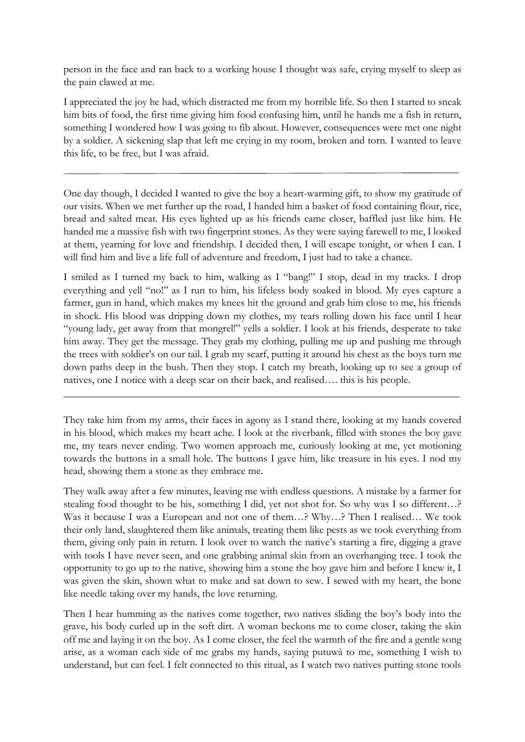person in the face and ran back to a working house I thought was safe, crying myself to sleep as the pain clawed at me.

I appreciated the joy he had, which distracted me from my horrible life. So then I started to sneak him bits of food, the first time giving him food confusing him, until he hands me a fish in return, something I wondered how I was going to fib about. However, consequences were met one night by a soldier. A sickening slap that left me crying in my room, broken and torn. I wanted to leave this life, to be free, but I was afraid.

One day though, I decided I wanted to give the boy a heart-warming gift, to show my gratitude of our visits. When we met further up the road, I handed him a basket of food containing flour, rice, bread and salted meat. His eyes lighted up as his friends came closer, baffled just like him. He handed me a massive fish with two fingerprint stones. As they were saying farewell to me, I looked at them, yearning for love and friendship. I decided then, I will escape tonight, or when I can. I will find him and live a life full of adventure and freedom, I just had to take a chance.

I smiled as I turned my back to him, walking as I "bang!" I stop, dead in my tracks. I drop everything and yell "no!" as I run to him, his lifeless body soaked in blood. My eyes capture a farmer, gun in hand, which makes my knees hit the ground and grab him close to me, his friends in shock. His blood was dripping down my clothes, my tears rolling down his face until I hear "young lady, get away from that mongrel!" yells a soldier. I look at his friends, desperate to take him away. They get the message. They grab my clothing, pulling me up and pushing me through the trees with soldier's on our tail. I grab my scarf, putting it around his chest as the boys turn me down paths deep in the bush. Then they stop. I catch my breath, looking up to see a group of natives, one I notice with a deep scar on their back, and realised…. this is his people.

They take him from my arms, their faces in agony as I stand there, looking at my hands covered in his blood, which makes my heart ache. I look at the riverbank, filled with stones the boy gave me, my tears never ending. Two women approach me, curiously looking at me, yet motioning towards the buttons in a small hole. The buttons I gave him, like treasure in his eyes. I nod my head, showing them a stone as they embrace me.

They walk away after a few minutes, leaving me with endless questions. A mistake by a farmer for stealing food thought to be his, something I did, yet not shot for. So why was I so different…? Was it because I was a European and not one of them...? Why...? Then I realised... We took their only land, slaughtered them like animals, treating them like pests as we took everything from them, giving only pain in return. I look over to watch the native's starting a fire, digging a grave with tools I have never seen, and one grabbing animal skin from an overhanging tree. I took the opportunity to go up to the native, showing him a stone the boy gave him and before I knew it, I was given the skin, shown what to make and sat down to sew. I sewed with my heart, the bone like needle taking over my hands, the love returning.

Then I hear humming as the natives come together, two natives sliding the boy's body into the grave, his body curled up in the soft dirt. A woman beckons me to come closer, taking the skin off me and laying it on the boy. As I come closer, the feel the warmth of the fire and a gentle song arise, as a woman each side of me grabs my hands, saying putuwà to me, something I wish to understand, but can feel. I felt connected to this ritual, as I watch two natives putting stone tools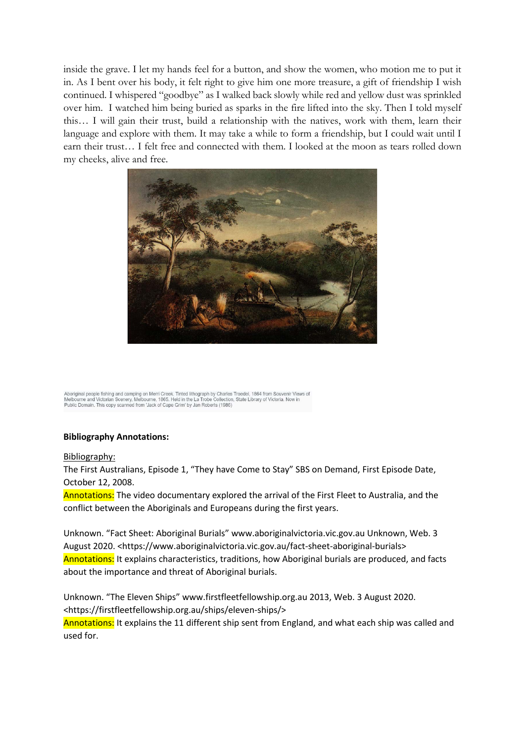inside the grave. I let my hands feel for a button, and show the women, who motion me to put it in. As I bent over his body, it felt right to give him one more treasure, a gift of friendship I wish continued. I whispered "goodbye" as I walked back slowly while red and yellow dust was sprinkled over him. I watched him being buried as sparks in the fire lifted into the sky. Then I told myself this… I will gain their trust, build a relationship with the natives, work with them, learn their language and explore with them. It may take a while to form a friendship, but I could wait until I earn their trust… I felt free and connected with them. I looked at the moon as tears rolled down my cheeks, alive and free.



Aboriginal people fishing and camping on Merri Creek. Tinted lithograph by Charles Troedel, 1864 from Souvenir Views of<br>Melbourne and Victorian Scenery, Melbourne, 1865. Held in the La Trobe Collection, State Library of Vi

## **Bibliography Annotations:**

## Bibliography:

The First Australians, Episode 1, "They have Come to Stay" SBS on Demand, First Episode Date, October 12, 2008.

Annotations: The video documentary explored the arrival of the First Fleet to Australia, and the conflict between the Aboriginals and Europeans during the first years.

Unknown. "Fact Sheet: Aboriginal Burials" www.aboriginalvictoria.vic.gov.au Unknown, Web. 3 August 2020. <https://www.aboriginalvictoria.vic.gov.au/fact-sheet-aboriginal-burials> Annotations: It explains characteristics, traditions, how Aboriginal burials are produced, and facts about the importance and threat of Aboriginal burials.

Unknown. "The Eleven Ships" www.firstfleetfellowship.org.au 2013, Web. 3 August 2020. <https://firstfleetfellowship.org.au/ships/eleven-ships/> Annotations: It explains the 11 different ship sent from England, and what each ship was called and used for.